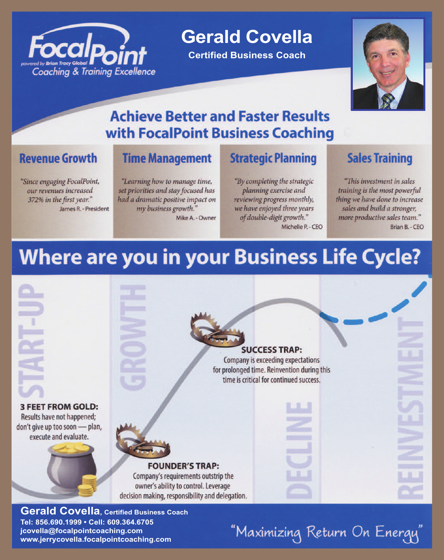

**Gerald Covella** 

**Certified Business Coach** 



# **Achieve Better and Faster Results** with FocalPoint Business Coaching

## **Revenue Growth**

"Since engaging FocalPoint, our revenues increased 372% in the first year." James R. - President

## **Time Management**

"Learning how to manage time, set priorities and stay focused has had a dramatic positive impact on my business growth." Mike A. - Owner

## **Strategic Planning**

"By completing the strategic planning exercise and reviewing progress monthly, we have enjoyed three years of double-digit growth." Michelle P. - CEO

## **Sales Training**

"This investment in sales training is the most powerful thing we have done to increase sales and build a stronger, more productive sales team." Brian B. - CEO

# **Where are you in your Business Life Cycle?**



Tel: 856.690.1999 · Cell: 609.364.6705 jcovella@focalpointcoaching.com www.jerrycovella.focalpointcoaching.com

"Maximizing Return On Energy"